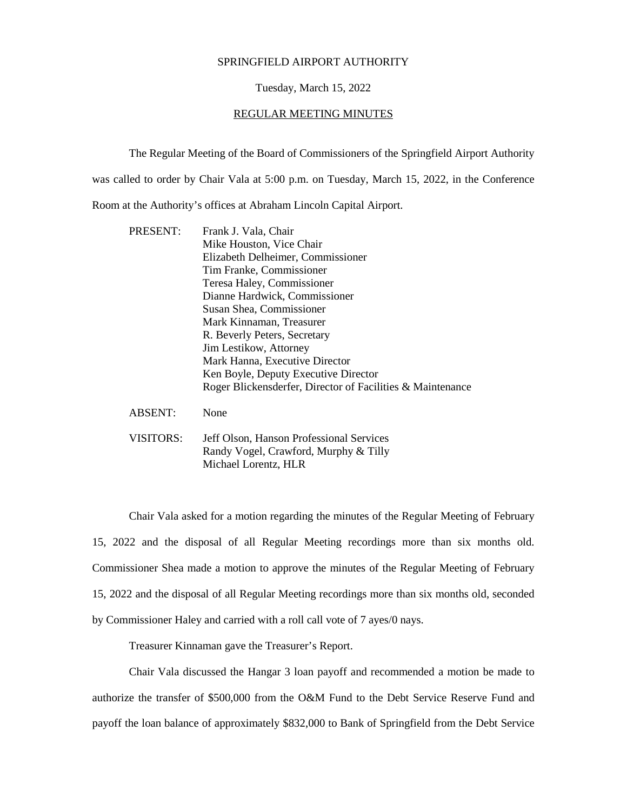## SPRINGFIELD AIRPORT AUTHORITY

## Tuesday, March 15, 2022

## REGULAR MEETING MINUTES

The Regular Meeting of the Board of Commissioners of the Springfield Airport Authority

was called to order by Chair Vala at 5:00 p.m. on Tuesday, March 15, 2022, in the Conference

Room at the Authority's offices at Abraham Lincoln Capital Airport.

| PRESENT:       | Frank J. Vala, Chair                                       |
|----------------|------------------------------------------------------------|
|                | Mike Houston, Vice Chair                                   |
|                | Elizabeth Delheimer, Commissioner                          |
|                | Tim Franke, Commissioner                                   |
|                | Teresa Haley, Commissioner                                 |
|                | Dianne Hardwick, Commissioner                              |
|                | Susan Shea, Commissioner                                   |
|                | Mark Kinnaman, Treasurer                                   |
|                | R. Beverly Peters, Secretary                               |
|                | Jim Lestikow, Attorney                                     |
|                | Mark Hanna, Executive Director                             |
|                | Ken Boyle, Deputy Executive Director                       |
|                | Roger Blickensderfer, Director of Facilities & Maintenance |
| <b>ABSENT:</b> | None                                                       |
| VISITORS:      | Jeff Olson, Hanson Professional Services                   |
|                | Randy Vogel, Crawford, Murphy & Tilly                      |
|                | Michael Lorentz, HLR                                       |

Chair Vala asked for a motion regarding the minutes of the Regular Meeting of February 15, 2022 and the disposal of all Regular Meeting recordings more than six months old. Commissioner Shea made a motion to approve the minutes of the Regular Meeting of February 15, 2022 and the disposal of all Regular Meeting recordings more than six months old, seconded by Commissioner Haley and carried with a roll call vote of 7 ayes/0 nays.

Treasurer Kinnaman gave the Treasurer's Report.

Chair Vala discussed the Hangar 3 loan payoff and recommended a motion be made to authorize the transfer of \$500,000 from the O&M Fund to the Debt Service Reserve Fund and payoff the loan balance of approximately \$832,000 to Bank of Springfield from the Debt Service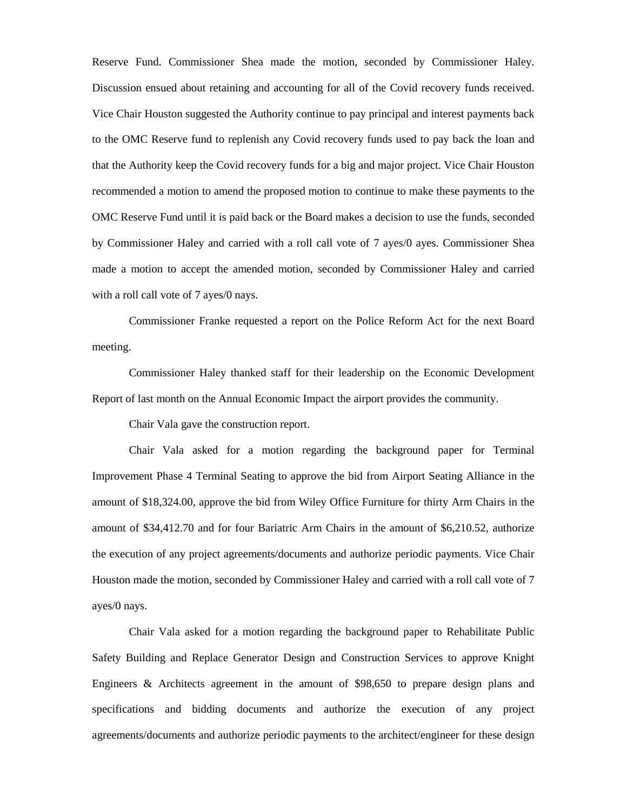Reserve Fund. Commissioner Shea made the motion, seconded by Commissioner Haley. Discussion ensued about retaining and accounting for all of the Covid recovery funds received. Vice Chair Houston suggested the Authority continue to pay principal and interest payments back to the OMC Reserve fund to replenish any Covid recovery funds used to pay back the loan and that the Authority keep the Covid recovery funds for a big and major project. Vice Chair Houston recommended a motion to amend the proposed motion to continue to make these payments to the OMC Reserve Fund until it is paid back or the Board makes a decision to use the funds, seconded by Commissioner Haley and carried with a roll call vote of 7 ayes/0 ayes. Commissioner Shea made a motion to accept the amended motion, seconded by Commissioner Haley and carried with a roll call vote of 7 ayes/0 nays.

Commissioner Franke requested a report on the Police Reform Act for the next Board meeting.

Commissioner Haley thanked staff for their leadership on the Economic Development Report of last month on the Annual Economic Impact the airport provides the community.

Chair Vala gave the construction report.

Chair Vala asked for a motion regarding the background paper for Terminal Improvement Phase 4 Terminal Seating to approve the bid from Airport Seating Alliance in the amount of \$18,324.00, approve the bid from Wiley Office Furniture for thirty Arm Chairs in the amount of \$34,412.70 and for four Bariatric Arm Chairs in the amount of \$6,210.52, authorize the execution of any project agreements/documents and authorize periodic payments. Vice Chair Houston made the motion, seconded by Commissioner Haley and carried with a roll call vote of 7 ayes/0 nays.

Chair Vala asked for a motion regarding the background paper to Rehabilitate Public Safety Building and Replace Generator Design and Construction Services to approve Knight Engineers & Architects agreement in the amount of \$98,650 to prepare design plans and specifications and bidding documents and authorize the execution of any project agreements/documents and authorize periodic payments to the architect/engineer for these design